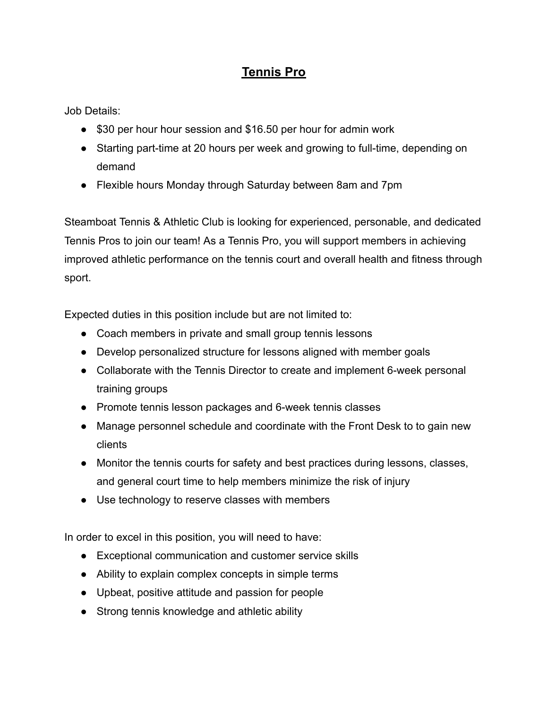## **Tennis Pro**

Job Details:

- \$30 per hour hour session and \$16.50 per hour for admin work
- Starting part-time at 20 hours per week and growing to full-time, depending on demand
- Flexible hours Monday through Saturday between 8am and 7pm

Steamboat Tennis & Athletic Club is looking for experienced, personable, and dedicated Tennis Pros to join our team! As a Tennis Pro, you will support members in achieving improved athletic performance on the tennis court and overall health and fitness through sport.

Expected duties in this position include but are not limited to:

- Coach members in private and small group tennis lessons
- Develop personalized structure for lessons aligned with member goals
- Collaborate with the Tennis Director to create and implement 6-week personal training groups
- **●** Promote tennis lesson packages and 6-week tennis classes
- Manage personnel schedule and coordinate with the Front Desk to to gain new clients
- Monitor the tennis courts for safety and best practices during lessons, classes, and general court time to help members minimize the risk of injury
- Use technology to reserve classes with members

In order to excel in this position, you will need to have:

- Exceptional communication and customer service skills
- Ability to explain complex concepts in simple terms
- Upbeat, positive attitude and passion for people
- Strong tennis knowledge and athletic ability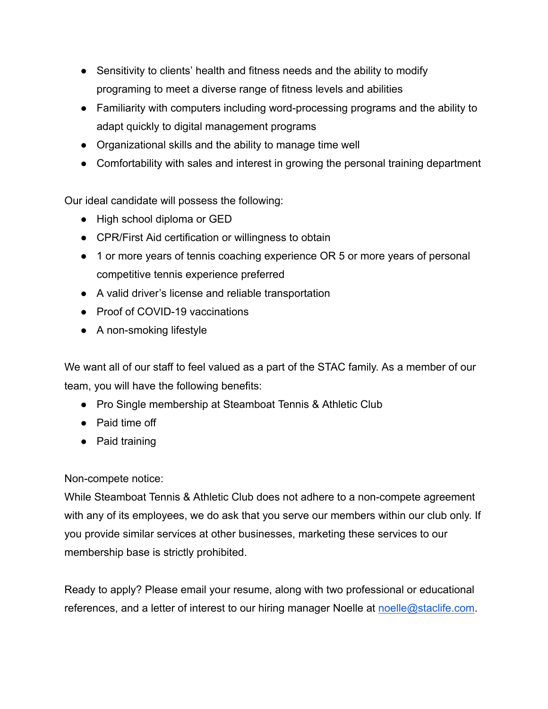- Sensitivity to clients' health and fitness needs and the ability to modify programing to meet a diverse range of fitness levels and abilities
- Familiarity with computers including word-processing programs and the ability to adapt quickly to digital management programs
- Organizational skills and the ability to manage time well
- Comfortability with sales and interest in growing the personal training department

Our ideal candidate will possess the following:

- High school diploma or GED
- CPR/First Aid certification or willingness to obtain
- 1 or more years of tennis coaching experience OR 5 or more years of personal competitive tennis experience preferred
- A valid driver's license and reliable transportation
- Proof of COVID-19 vaccinations
- A non-smoking lifestyle

We want all of our staff to feel valued as a part of the STAC family. As a member of our team, you will have the following benefits:

- Pro Single membership at Steamboat Tennis & Athletic Club
- Paid time off
- Paid training

Non-compete notice:

While Steamboat Tennis & Athletic Club does not adhere to a non-compete agreement with any of its employees, we do ask that you serve our members within our club only. If you provide similar services at other businesses, marketing these services to our membership base is strictly prohibited.

Ready to apply? Please email your resume, along with two professional or educational references, and a letter of interest to our hiring manager Noelle at [noelle@staclife.com](mailto:noelle@staclife.com).